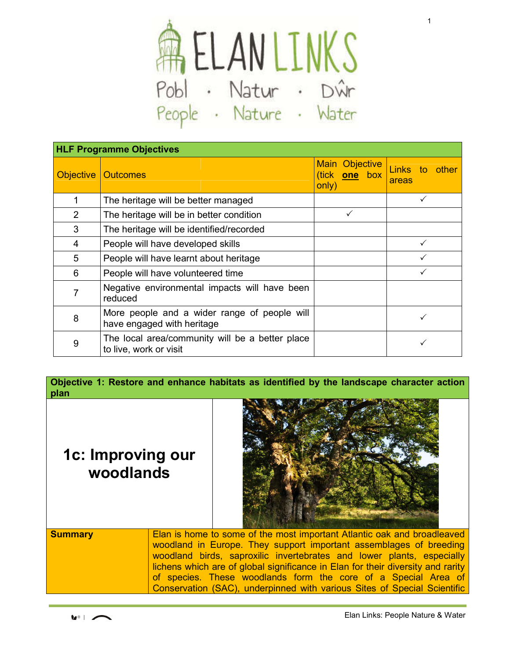

| <b>HLF Programme Objectives</b> |                                                                            |                                          |                            |
|---------------------------------|----------------------------------------------------------------------------|------------------------------------------|----------------------------|
| <b>Objective</b>                | <b>Outcomes</b>                                                            | Main Objective<br>(tick one box<br>only) | Links to<br>other<br>areas |
| $\mathbf 1$                     | The heritage will be better managed                                        |                                          |                            |
| $\overline{2}$                  | The heritage will be in better condition                                   |                                          |                            |
| 3                               | The heritage will be identified/recorded                                   |                                          |                            |
| 4                               | People will have developed skills                                          |                                          |                            |
| 5                               | People will have learnt about heritage                                     |                                          |                            |
| 6                               | People will have volunteered time                                          |                                          |                            |
| 7                               | Negative environmental impacts will have been<br>reduced                   |                                          |                            |
| 8                               | More people and a wider range of people will<br>have engaged with heritage |                                          |                            |
| 9                               | The local area/community will be a better place<br>to live, work or visit  |                                          |                            |

**Objective 1: Restore and enhance habitats as identified by the landscape character action plan**

## **1c: Improving our woodlands**



| <b>Summary</b> | Elan is home to some of the most important Atlantic oak and broadleaved         |
|----------------|---------------------------------------------------------------------------------|
|                | woodland in Europe. They support important assemblages of breeding              |
|                | woodland birds, saproxilic invertebrates and lower plants, especially           |
|                | lichens which are of global significance in Elan for their diversity and rarity |
|                | of species. These woodlands form the core of a Special Area of                  |
|                | Conservation (SAC), underpinned with various Sites of Special Scientific        |

1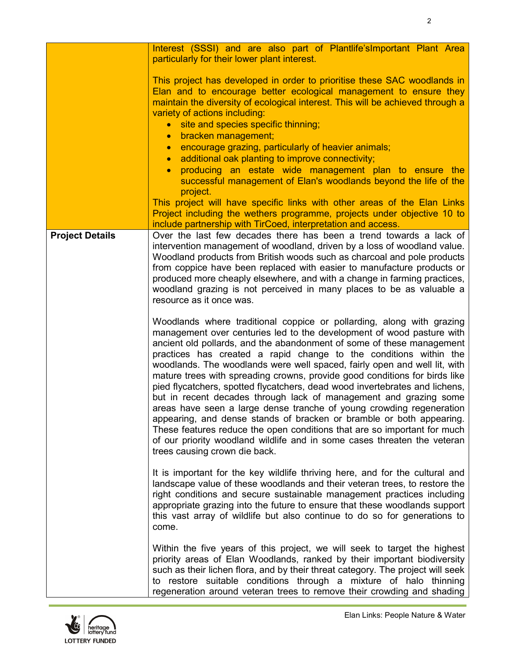|                        | Interest (SSSI) and are also part of Plantlife's Important Plant Area<br>particularly for their lower plant interest.                                                                                                                                                                                                                                                                                                                                                                                                                                                                                                                                                                                                                                                                                                                                                                                                                                |
|------------------------|------------------------------------------------------------------------------------------------------------------------------------------------------------------------------------------------------------------------------------------------------------------------------------------------------------------------------------------------------------------------------------------------------------------------------------------------------------------------------------------------------------------------------------------------------------------------------------------------------------------------------------------------------------------------------------------------------------------------------------------------------------------------------------------------------------------------------------------------------------------------------------------------------------------------------------------------------|
|                        | This project has developed in order to prioritise these SAC woodlands in<br>Elan and to encourage better ecological management to ensure they<br>maintain the diversity of ecological interest. This will be achieved through a<br>variety of actions including:<br>site and species specific thinning;<br>$\bullet$<br>bracken management;<br>$\bullet$<br>encourage grazing, particularly of heavier animals;<br>$\bullet$<br>additional oak planting to improve connectivity;<br>$\bullet$<br>producing an estate wide management plan to ensure the<br>$\bullet$<br>successful management of Elan's woodlands beyond the life of the<br>project.<br>This project will have specific links with other areas of the Elan Links<br>Project including the wethers programme, projects under objective 10 to<br>include partnership with TirCoed, interpretation and access.                                                                          |
| <b>Project Details</b> | Over the last few decades there has been a trend towards a lack of<br>intervention management of woodland, driven by a loss of woodland value.<br>Woodland products from British woods such as charcoal and pole products<br>from coppice have been replaced with easier to manufacture products or<br>produced more cheaply elsewhere, and with a change in farming practices,<br>woodland grazing is not perceived in many places to be as valuable a<br>resource as it once was.                                                                                                                                                                                                                                                                                                                                                                                                                                                                  |
|                        | Woodlands where traditional coppice or pollarding, along with grazing<br>management over centuries led to the development of wood pasture with<br>ancient old pollards, and the abandonment of some of these management<br>practices has created a rapid change to the conditions within the<br>woodlands. The woodlands were well spaced, fairly open and well lit, with<br>mature trees with spreading crowns, provide good conditions for birds like<br>pied flycatchers, spotted flycatchers, dead wood invertebrates and lichens,<br>but in recent decades through lack of management and grazing some<br>areas have seen a large dense tranche of young crowding regeneration<br>appearing, and dense stands of bracken or bramble or both appearing.<br>These features reduce the open conditions that are so important for much<br>of our priority woodland wildlife and in some cases threaten the veteran<br>trees causing crown die back. |
|                        | It is important for the key wildlife thriving here, and for the cultural and<br>landscape value of these woodlands and their veteran trees, to restore the<br>right conditions and secure sustainable management practices including<br>appropriate grazing into the future to ensure that these woodlands support<br>this vast array of wildlife but also continue to do so for generations to<br>come.                                                                                                                                                                                                                                                                                                                                                                                                                                                                                                                                             |
|                        | Within the five years of this project, we will seek to target the highest<br>priority areas of Elan Woodlands, ranked by their important biodiversity<br>such as their lichen flora, and by their threat category. The project will seek<br>to restore suitable conditions through a mixture of halo thinning<br>regeneration around veteran trees to remove their crowding and shading                                                                                                                                                                                                                                                                                                                                                                                                                                                                                                                                                              |

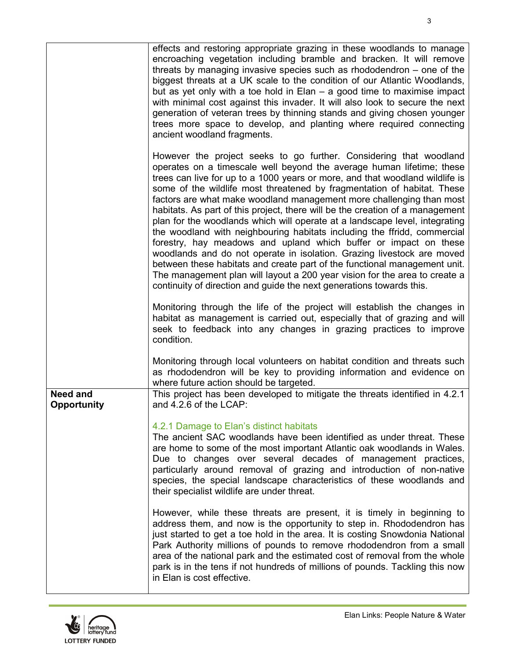|                                       | effects and restoring appropriate grazing in these woodlands to manage<br>encroaching vegetation including bramble and bracken. It will remove<br>threats by managing invasive species such as rhododendron – one of the<br>biggest threats at a UK scale to the condition of our Atlantic Woodlands,<br>but as yet only with a toe hold in $Elan - a$ good time to maximise impact<br>with minimal cost against this invader. It will also look to secure the next<br>generation of veteran trees by thinning stands and giving chosen younger<br>trees more space to develop, and planting where required connecting<br>ancient woodland fragments.                                                                                                                                                                                                                                                                                                                                                       |
|---------------------------------------|-------------------------------------------------------------------------------------------------------------------------------------------------------------------------------------------------------------------------------------------------------------------------------------------------------------------------------------------------------------------------------------------------------------------------------------------------------------------------------------------------------------------------------------------------------------------------------------------------------------------------------------------------------------------------------------------------------------------------------------------------------------------------------------------------------------------------------------------------------------------------------------------------------------------------------------------------------------------------------------------------------------|
|                                       | However the project seeks to go further. Considering that woodland<br>operates on a timescale well beyond the average human lifetime; these<br>trees can live for up to a 1000 years or more, and that woodland wildlife is<br>some of the wildlife most threatened by fragmentation of habitat. These<br>factors are what make woodland management more challenging than most<br>habitats. As part of this project, there will be the creation of a management<br>plan for the woodlands which will operate at a landscape level, integrating<br>the woodland with neighbouring habitats including the ffridd, commercial<br>forestry, hay meadows and upland which buffer or impact on these<br>woodlands and do not operate in isolation. Grazing livestock are moved<br>between these habitats and create part of the functional management unit.<br>The management plan will layout a 200 year vision for the area to create a<br>continuity of direction and guide the next generations towards this. |
|                                       | Monitoring through the life of the project will establish the changes in<br>habitat as management is carried out, especially that of grazing and will<br>seek to feedback into any changes in grazing practices to improve<br>condition.                                                                                                                                                                                                                                                                                                                                                                                                                                                                                                                                                                                                                                                                                                                                                                    |
|                                       | Monitoring through local volunteers on habitat condition and threats such<br>as rhododendron will be key to providing information and evidence on<br>where future action should be targeted.                                                                                                                                                                                                                                                                                                                                                                                                                                                                                                                                                                                                                                                                                                                                                                                                                |
| <b>Need and</b><br><b>Opportunity</b> | This project has been developed to mitigate the threats identified in 4.2.1<br>and 4.2.6 of the LCAP:                                                                                                                                                                                                                                                                                                                                                                                                                                                                                                                                                                                                                                                                                                                                                                                                                                                                                                       |
|                                       | 4.2.1 Damage to Elan's distinct habitats<br>The ancient SAC woodlands have been identified as under threat. These<br>are home to some of the most important Atlantic oak woodlands in Wales.<br>Due to changes over several decades of management practices,<br>particularly around removal of grazing and introduction of non-native<br>species, the special landscape characteristics of these woodlands and<br>their specialist wildlife are under threat.                                                                                                                                                                                                                                                                                                                                                                                                                                                                                                                                               |
|                                       | However, while these threats are present, it is timely in beginning to<br>address them, and now is the opportunity to step in. Rhododendron has<br>just started to get a toe hold in the area. It is costing Snowdonia National<br>Park Authority millions of pounds to remove rhododendron from a small<br>area of the national park and the estimated cost of removal from the whole<br>park is in the tens if not hundreds of millions of pounds. Tackling this now<br>in Elan is cost effective.                                                                                                                                                                                                                                                                                                                                                                                                                                                                                                        |

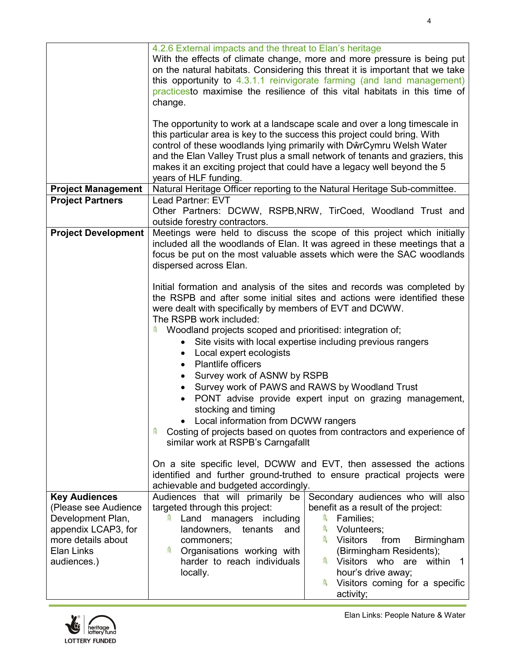|                                          | 4.2.6 External impacts and the threat to Elan's heritage<br>With the effects of climate change, more and more pressure is being put<br>on the natural habitats. Considering this threat it is important that we take<br>this opportunity to 4.3.1.1 reinvigorate farming (and land management)<br>practicesto maximise the resilience of this vital habitats in this time of                                       |  |
|------------------------------------------|--------------------------------------------------------------------------------------------------------------------------------------------------------------------------------------------------------------------------------------------------------------------------------------------------------------------------------------------------------------------------------------------------------------------|--|
|                                          | change.                                                                                                                                                                                                                                                                                                                                                                                                            |  |
|                                          | The opportunity to work at a landscape scale and over a long timescale in<br>this particular area is key to the success this project could bring. With<br>control of these woodlands lying primarily with DŵrCymru Welsh Water<br>and the Elan Valley Trust plus a small network of tenants and graziers, this<br>makes it an exciting project that could have a legacy well beyond the 5<br>years of HLF funding. |  |
| <b>Project Management</b>                | Natural Heritage Officer reporting to the Natural Heritage Sub-committee.                                                                                                                                                                                                                                                                                                                                          |  |
| <b>Project Partners</b>                  | Lead Partner: EVT<br>Other Partners: DCWW, RSPB,NRW, TirCoed, Woodland Trust and<br>outside forestry contractors.                                                                                                                                                                                                                                                                                                  |  |
| <b>Project Development</b>               | Meetings were held to discuss the scope of this project which initially<br>included all the woodlands of Elan. It was agreed in these meetings that a<br>focus be put on the most valuable assets which were the SAC woodlands<br>dispersed across Elan.                                                                                                                                                           |  |
|                                          | Initial formation and analysis of the sites and records was completed by<br>the RSPB and after some initial sites and actions were identified these<br>were dealt with specifically by members of EVT and DCWW.<br>The RSPB work included:                                                                                                                                                                         |  |
|                                          | Woodland projects scoped and prioritised: integration of;<br>Я,<br>Site visits with local expertise including previous rangers<br>$\bullet$<br>Local expert ecologists<br>$\bullet$                                                                                                                                                                                                                                |  |
|                                          | <b>Plantlife officers</b>                                                                                                                                                                                                                                                                                                                                                                                          |  |
|                                          | Survey work of ASNW by RSPB<br>$\bullet$<br>Survey work of PAWS and RAWS by Woodland Trust<br>$\bullet$                                                                                                                                                                                                                                                                                                            |  |
|                                          | PONT advise provide expert input on grazing management,                                                                                                                                                                                                                                                                                                                                                            |  |
|                                          | stocking and timing                                                                                                                                                                                                                                                                                                                                                                                                |  |
|                                          | • Local information from DCWW rangers                                                                                                                                                                                                                                                                                                                                                                              |  |
|                                          | Costing of projects based on quotes from contractors and experience of<br>爲<br>similar work at RSPB's Carngafallt                                                                                                                                                                                                                                                                                                  |  |
|                                          | On a site specific level, DCWW and EVT, then assessed the actions<br>identified and further ground-truthed to ensure practical projects were<br>achievable and budgeted accordingly.                                                                                                                                                                                                                               |  |
| <b>Key Audiences</b>                     | Secondary audiences who will also<br>Audiences that will primarily be                                                                                                                                                                                                                                                                                                                                              |  |
| (Please see Audience                     | targeted through this project:<br>benefit as a result of the project:                                                                                                                                                                                                                                                                                                                                              |  |
| Development Plan,<br>appendix LCAP3, for | 舃<br>Land managers including<br>Families;<br>舃<br>landowners,<br>Volunteers;<br>tenants<br>and                                                                                                                                                                                                                                                                                                                     |  |
| more details about                       | 枲<br><b>Visitors</b><br><b>Birmingham</b><br>commoners;<br>from                                                                                                                                                                                                                                                                                                                                                    |  |
| Elan Links                               | Organisations working with<br>(Birmingham Residents);                                                                                                                                                                                                                                                                                                                                                              |  |
| audiences.)                              | harder to reach individuals<br>Visitors who are within 1<br>hour's drive away;<br>locally.                                                                                                                                                                                                                                                                                                                         |  |
|                                          | Visitors coming for a specific<br>R<br>activity;                                                                                                                                                                                                                                                                                                                                                                   |  |

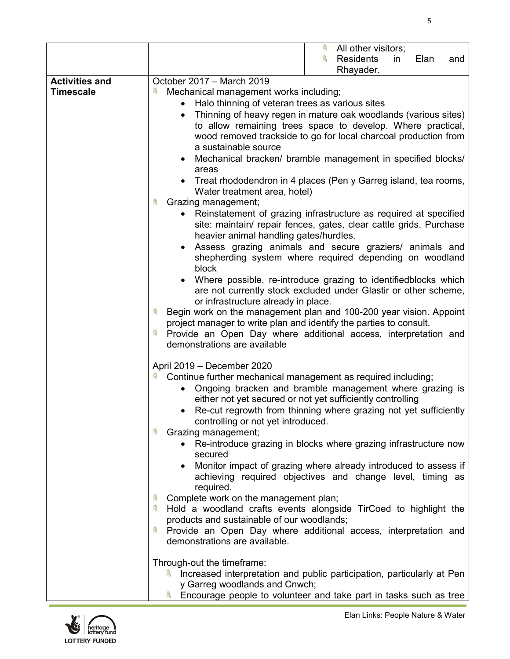|                                           | All other visitors;<br>舃<br>舃<br><b>Residents</b><br>in<br>Elan<br>and<br>Rhayader.                                                                                                                                                                                                                                                                                                                                                                                                                                                                                                                                                                                                                                                                                                                                                                                                                                                                                                                                                                                                                                                                                                                                                                                                                                                                        |
|-------------------------------------------|------------------------------------------------------------------------------------------------------------------------------------------------------------------------------------------------------------------------------------------------------------------------------------------------------------------------------------------------------------------------------------------------------------------------------------------------------------------------------------------------------------------------------------------------------------------------------------------------------------------------------------------------------------------------------------------------------------------------------------------------------------------------------------------------------------------------------------------------------------------------------------------------------------------------------------------------------------------------------------------------------------------------------------------------------------------------------------------------------------------------------------------------------------------------------------------------------------------------------------------------------------------------------------------------------------------------------------------------------------|
| <b>Activities and</b><br><b>Timescale</b> | October 2017 - March 2019<br>Mechanical management works including;<br>A,<br>Halo thinning of veteran trees as various sites<br>$\bullet$<br>Thinning of heavy regen in mature oak woodlands (various sites)<br>$\bullet$<br>to allow remaining trees space to develop. Where practical,<br>wood removed trackside to go for local charcoal production from<br>a sustainable source<br>Mechanical bracken/ bramble management in specified blocks/<br>areas<br>Treat rhododendron in 4 places (Pen y Garreg island, tea rooms,<br>Water treatment area, hotel)<br>Ą<br>Grazing management;<br>Reinstatement of grazing infrastructure as required at specified<br>$\bullet$<br>site: maintain/ repair fences, gates, clear cattle grids. Purchase<br>heavier animal handling gates/hurdles.<br>Assess grazing animals and secure graziers/ animals and<br>shepherding system where required depending on woodland<br>block<br>Where possible, re-introduce grazing to identifiedblocks which<br>are not currently stock excluded under Glastir or other scheme,<br>or infrastructure already in place.<br>Begin work on the management plan and 100-200 year vision. Appoint<br>舃<br>project manager to write plan and identify the parties to consult.<br>Provide an Open Day where additional access, interpretation and<br>demonstrations are available |
|                                           | April 2019 - December 2020<br>Continue further mechanical management as required including;<br>Я,<br>Ongoing bracken and bramble management where grazing is<br>either not yet secured or not yet sufficiently controlling<br>Re-cut regrowth from thinning where grazing not yet sufficiently<br>controlling or not yet introduced.<br>鸟<br>Grazing management;<br>• Re-introduce grazing in blocks where grazing infrastructure now<br>secured<br>Monitor impact of grazing where already introduced to assess if<br>achieving required objectives and change level, timing as<br>required.<br>Complete work on the management plan;<br>Hold a woodland crafts events alongside TirCoed to highlight the<br>products and sustainable of our woodlands;<br>Provide an Open Day where additional access, interpretation and<br>具<br>demonstrations are available.<br>Through-out the timeframe:<br>Increased interpretation and public participation, particularly at Pen<br>凬<br>y Garreg woodlands and Cnwch;<br>Encourage people to volunteer and take part in tasks such as tree<br>佩                                                                                                                                                                                                                                                                  |

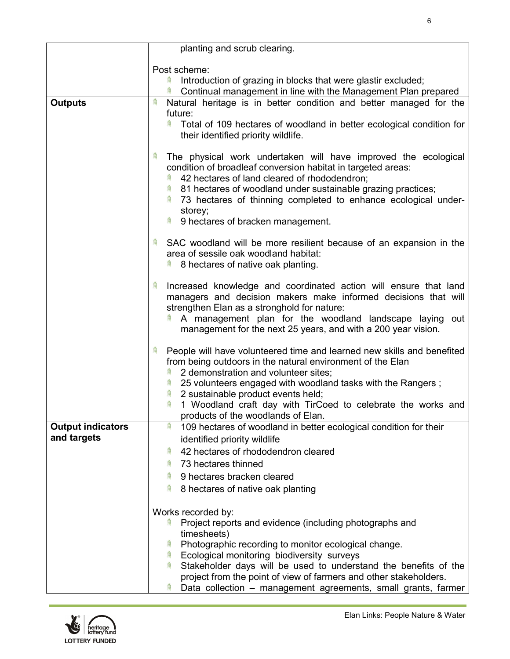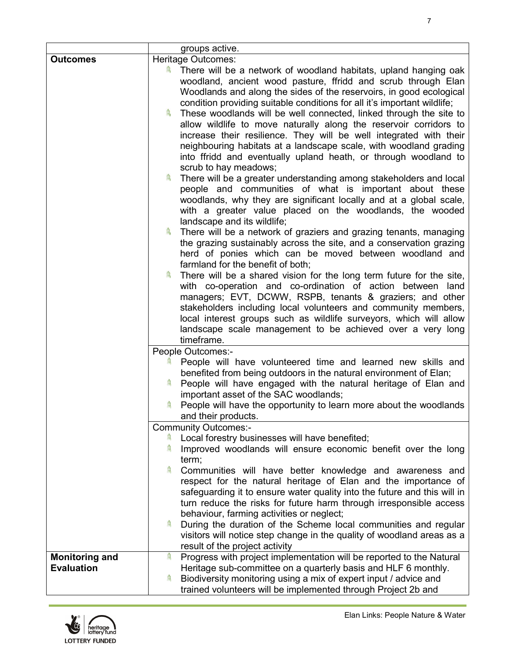|                       | groups active.                                                                                                                                                                                                                                                                                                                                                                                                                                                                                                                                                                                                                                                                                                                                                                                                                                                                                                                                                                                                                                                                                                                                                                                                                                                                                                                                                                                                                                                                                                                                                                                                                                         |
|-----------------------|--------------------------------------------------------------------------------------------------------------------------------------------------------------------------------------------------------------------------------------------------------------------------------------------------------------------------------------------------------------------------------------------------------------------------------------------------------------------------------------------------------------------------------------------------------------------------------------------------------------------------------------------------------------------------------------------------------------------------------------------------------------------------------------------------------------------------------------------------------------------------------------------------------------------------------------------------------------------------------------------------------------------------------------------------------------------------------------------------------------------------------------------------------------------------------------------------------------------------------------------------------------------------------------------------------------------------------------------------------------------------------------------------------------------------------------------------------------------------------------------------------------------------------------------------------------------------------------------------------------------------------------------------------|
| <b>Outcomes</b>       | Heritage Outcomes:                                                                                                                                                                                                                                                                                                                                                                                                                                                                                                                                                                                                                                                                                                                                                                                                                                                                                                                                                                                                                                                                                                                                                                                                                                                                                                                                                                                                                                                                                                                                                                                                                                     |
|                       | $\widehat{m}$<br>There will be a network of woodland habitats, upland hanging oak<br>woodland, ancient wood pasture, ffridd and scrub through Elan<br>Woodlands and along the sides of the reservoirs, in good ecological<br>condition providing suitable conditions for all it's important wildlife;<br>舃<br>These woodlands will be well connected, linked through the site to<br>allow wildlife to move naturally along the reservoir corridors to<br>increase their resilience. They will be well integrated with their<br>neighbouring habitats at a landscape scale, with woodland grading<br>into ffridd and eventually upland heath, or through woodland to<br>scrub to hay meadows;<br>There will be a greater understanding among stakeholders and local<br>people and communities of what is important about these<br>woodlands, why they are significant locally and at a global scale,<br>with a greater value placed on the woodlands, the wooded<br>landscape and its wildlife;<br>There will be a network of graziers and grazing tenants, managing<br>the grazing sustainably across the site, and a conservation grazing<br>herd of ponies which can be moved between woodland and<br>farmland for the benefit of both;<br>扁<br>There will be a shared vision for the long term future for the site,<br>with co-operation and co-ordination of action between land<br>managers; EVT, DCWW, RSPB, tenants & graziers; and other<br>stakeholders including local volunteers and community members,<br>local interest groups such as wildlife surveyors, which will allow<br>landscape scale management to be achieved over a very long |
|                       | timeframe.<br>People Outcomes:-<br>People will have volunteered time and learned new skills and<br>benefited from being outdoors in the natural environment of Elan;<br>People will have engaged with the natural heritage of Elan and<br>凬<br>important asset of the SAC woodlands;<br>People will have the opportunity to learn more about the woodlands                                                                                                                                                                                                                                                                                                                                                                                                                                                                                                                                                                                                                                                                                                                                                                                                                                                                                                                                                                                                                                                                                                                                                                                                                                                                                             |
|                       | and their products.                                                                                                                                                                                                                                                                                                                                                                                                                                                                                                                                                                                                                                                                                                                                                                                                                                                                                                                                                                                                                                                                                                                                                                                                                                                                                                                                                                                                                                                                                                                                                                                                                                    |
|                       | <b>Community Outcomes:-</b><br>Local forestry businesses will have benefited;                                                                                                                                                                                                                                                                                                                                                                                                                                                                                                                                                                                                                                                                                                                                                                                                                                                                                                                                                                                                                                                                                                                                                                                                                                                                                                                                                                                                                                                                                                                                                                          |
|                       | Improved woodlands will ensure economic benefit over the long<br>term;                                                                                                                                                                                                                                                                                                                                                                                                                                                                                                                                                                                                                                                                                                                                                                                                                                                                                                                                                                                                                                                                                                                                                                                                                                                                                                                                                                                                                                                                                                                                                                                 |
|                       | Communities will have better knowledge and awareness and<br>respect for the natural heritage of Elan and the importance of<br>safeguarding it to ensure water quality into the future and this will in<br>turn reduce the risks for future harm through irresponsible access<br>behaviour, farming activities or neglect;                                                                                                                                                                                                                                                                                                                                                                                                                                                                                                                                                                                                                                                                                                                                                                                                                                                                                                                                                                                                                                                                                                                                                                                                                                                                                                                              |
|                       | During the duration of the Scheme local communities and regular<br>鳥<br>visitors will notice step change in the quality of woodland areas as a<br>result of the project activity                                                                                                                                                                                                                                                                                                                                                                                                                                                                                                                                                                                                                                                                                                                                                                                                                                                                                                                                                                                                                                                                                                                                                                                                                                                                                                                                                                                                                                                                       |
| <b>Monitoring and</b> | Progress with project implementation will be reported to the Natural<br>舃                                                                                                                                                                                                                                                                                                                                                                                                                                                                                                                                                                                                                                                                                                                                                                                                                                                                                                                                                                                                                                                                                                                                                                                                                                                                                                                                                                                                                                                                                                                                                                              |
| <b>Evaluation</b>     | Heritage sub-committee on a quarterly basis and HLF 6 monthly.<br>Biodiversity monitoring using a mix of expert input / advice and<br>鳥<br>trained volunteers will be implemented through Project 2b and                                                                                                                                                                                                                                                                                                                                                                                                                                                                                                                                                                                                                                                                                                                                                                                                                                                                                                                                                                                                                                                                                                                                                                                                                                                                                                                                                                                                                                               |

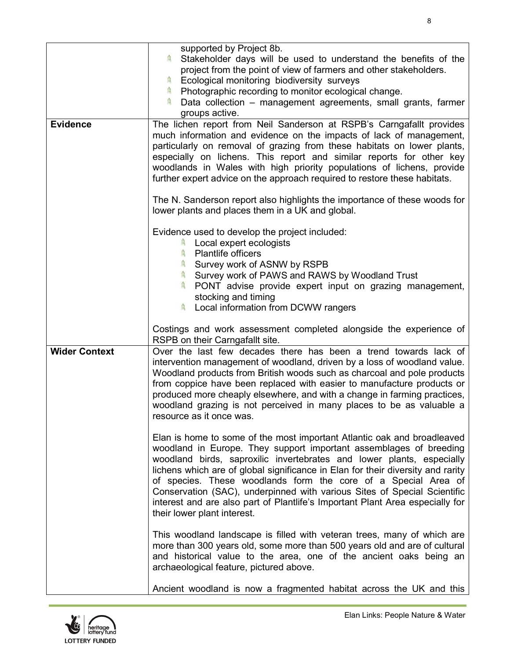|                      | supported by Project 8b.<br>Stakeholder days will be used to understand the benefits of the<br>project from the point of view of farmers and other stakeholders.<br>Ecological monitoring biodiversity surveys<br>鳥<br>Photographic recording to monitor ecological change.<br>鳥<br>Data collection - management agreements, small grants, farmer<br>groups active.                                                                                                                                                                                                     |
|----------------------|-------------------------------------------------------------------------------------------------------------------------------------------------------------------------------------------------------------------------------------------------------------------------------------------------------------------------------------------------------------------------------------------------------------------------------------------------------------------------------------------------------------------------------------------------------------------------|
| <b>Evidence</b>      | The lichen report from Neil Sanderson at RSPB's Carngafallt provides<br>much information and evidence on the impacts of lack of management,<br>particularly on removal of grazing from these habitats on lower plants,<br>especially on lichens. This report and similar reports for other key<br>woodlands in Wales with high priority populations of lichens, provide<br>further expert advice on the approach required to restore these habitats.<br>The N. Sanderson report also highlights the importance of these woods for                                       |
|                      | lower plants and places them in a UK and global.                                                                                                                                                                                                                                                                                                                                                                                                                                                                                                                        |
|                      | Evidence used to develop the project included:<br>Local expert ecologists<br>扁<br><b>Plantlife officers</b><br>扁<br>Survey work of ASNW by RSPB<br>侖<br>Survey work of PAWS and RAWS by Woodland Trust<br>侖<br>PONT advise provide expert input on grazing management,<br>stocking and timing<br>Local information from DCWW rangers                                                                                                                                                                                                                                    |
|                      | Costings and work assessment completed alongside the experience of<br>RSPB on their Carngafallt site.                                                                                                                                                                                                                                                                                                                                                                                                                                                                   |
| <b>Wider Context</b> | Over the last few decades there has been a trend towards lack of<br>intervention management of woodland, driven by a loss of woodland value.<br>Woodland products from British woods such as charcoal and pole products<br>from coppice have been replaced with easier to manufacture products or<br>produced more cheaply elsewhere, and with a change in farming practices,<br>woodland grazing is not perceived in many places to be as valuable a<br>resource as it once was.                                                                                       |
|                      | Elan is home to some of the most important Atlantic oak and broadleaved<br>woodland in Europe. They support important assemblages of breeding<br>woodland birds, saproxilic invertebrates and lower plants, especially<br>lichens which are of global significance in Elan for their diversity and rarity<br>of species. These woodlands form the core of a Special Area of<br>Conservation (SAC), underpinned with various Sites of Special Scientific<br>interest and are also part of Plantlife's Important Plant Area especially for<br>their lower plant interest. |
|                      | This woodland landscape is filled with veteran trees, many of which are<br>more than 300 years old, some more than 500 years old and are of cultural<br>and historical value to the area, one of the ancient oaks being an<br>archaeological feature, pictured above.                                                                                                                                                                                                                                                                                                   |
|                      | Ancient woodland is now a fragmented habitat across the UK and this                                                                                                                                                                                                                                                                                                                                                                                                                                                                                                     |

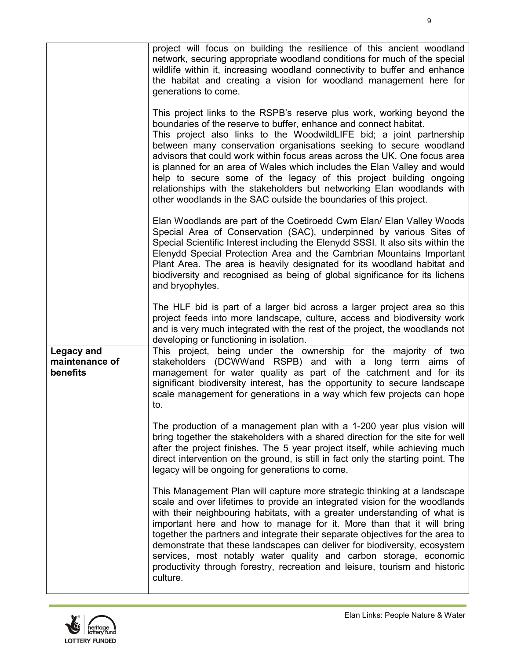|                                                 | project will focus on building the resilience of this ancient woodland<br>network, securing appropriate woodland conditions for much of the special<br>wildlife within it, increasing woodland connectivity to buffer and enhance<br>the habitat and creating a vision for woodland management here for<br>generations to come.<br>This project links to the RSPB's reserve plus work, working beyond the<br>boundaries of the reserve to buffer, enhance and connect habitat.<br>This project also links to the WoodwildLIFE bid; a joint partnership<br>between many conservation organisations seeking to secure woodland<br>advisors that could work within focus areas across the UK. One focus area<br>is planned for an area of Wales which includes the Elan Valley and would<br>help to secure some of the legacy of this project building ongoing<br>relationships with the stakeholders but networking Elan woodlands with<br>other woodlands in the SAC outside the boundaries of this project. |
|-------------------------------------------------|-------------------------------------------------------------------------------------------------------------------------------------------------------------------------------------------------------------------------------------------------------------------------------------------------------------------------------------------------------------------------------------------------------------------------------------------------------------------------------------------------------------------------------------------------------------------------------------------------------------------------------------------------------------------------------------------------------------------------------------------------------------------------------------------------------------------------------------------------------------------------------------------------------------------------------------------------------------------------------------------------------------|
|                                                 | Elan Woodlands are part of the Coetiroedd Cwm Elan/ Elan Valley Woods<br>Special Area of Conservation (SAC), underpinned by various Sites of<br>Special Scientific Interest including the Elenydd SSSI. It also sits within the<br>Elenydd Special Protection Area and the Cambrian Mountains Important<br>Plant Area. The area is heavily designated for its woodland habitat and<br>biodiversity and recognised as being of global significance for its lichens<br>and bryophytes.                                                                                                                                                                                                                                                                                                                                                                                                                                                                                                                        |
|                                                 | The HLF bid is part of a larger bid across a larger project area so this<br>project feeds into more landscape, culture, access and biodiversity work<br>and is very much integrated with the rest of the project, the woodlands not<br>developing or functioning in isolation.                                                                                                                                                                                                                                                                                                                                                                                                                                                                                                                                                                                                                                                                                                                              |
| <b>Legacy and</b><br>maintenance of<br>benefits | This project, being under the ownership for the majority of two<br>stakeholders (DCWWand RSPB) and with a long term aims of<br>management for water quality as part of the catchment and for its<br>significant biodiversity interest, has the opportunity to secure landscape<br>scale management for generations in a way which few projects can hope<br>to.                                                                                                                                                                                                                                                                                                                                                                                                                                                                                                                                                                                                                                              |
|                                                 | The production of a management plan with a 1-200 year plus vision will<br>bring together the stakeholders with a shared direction for the site for well<br>after the project finishes. The 5 year project itself, while achieving much<br>direct intervention on the ground, is still in fact only the starting point. The<br>legacy will be ongoing for generations to come.                                                                                                                                                                                                                                                                                                                                                                                                                                                                                                                                                                                                                               |
|                                                 | This Management Plan will capture more strategic thinking at a landscape<br>scale and over lifetimes to provide an integrated vision for the woodlands<br>with their neighbouring habitats, with a greater understanding of what is<br>important here and how to manage for it. More than that it will bring<br>together the partners and integrate their separate objectives for the area to<br>demonstrate that these landscapes can deliver for biodiversity, ecosystem<br>services, most notably water quality and carbon storage, economic<br>productivity through forestry, recreation and leisure, tourism and historic<br>culture.                                                                                                                                                                                                                                                                                                                                                                  |

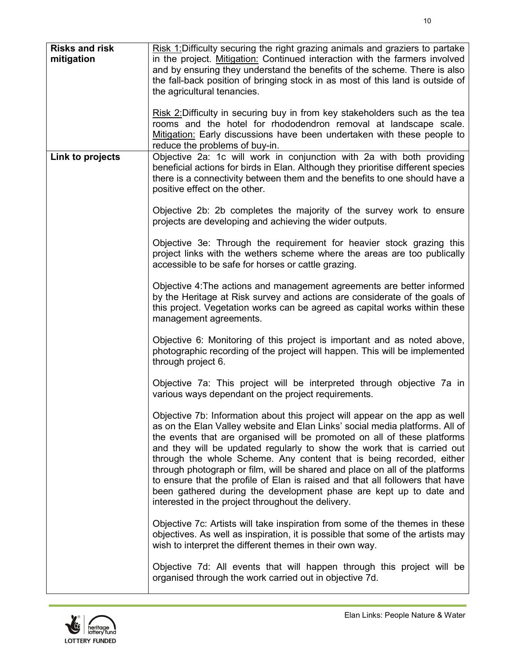| <b>Risks and risk</b><br>mitigation | Risk 1: Difficulty securing the right grazing animals and graziers to partake<br>in the project. Mitigation: Continued interaction with the farmers involved<br>and by ensuring they understand the benefits of the scheme. There is also<br>the fall-back position of bringing stock in as most of this land is outside of<br>the agricultural tenancies.                                                                                                                                                                                                                                                                                                                              |
|-------------------------------------|-----------------------------------------------------------------------------------------------------------------------------------------------------------------------------------------------------------------------------------------------------------------------------------------------------------------------------------------------------------------------------------------------------------------------------------------------------------------------------------------------------------------------------------------------------------------------------------------------------------------------------------------------------------------------------------------|
|                                     | Risk 2: Difficulty in securing buy in from key stakeholders such as the tea<br>rooms and the hotel for rhododendron removal at landscape scale.<br>Mitigation: Early discussions have been undertaken with these people to<br>reduce the problems of buy-in.                                                                                                                                                                                                                                                                                                                                                                                                                            |
| Link to projects                    | Objective 2a: 1c will work in conjunction with 2a with both providing<br>beneficial actions for birds in Elan. Although they prioritise different species<br>there is a connectivity between them and the benefits to one should have a<br>positive effect on the other.                                                                                                                                                                                                                                                                                                                                                                                                                |
|                                     | Objective 2b: 2b completes the majority of the survey work to ensure<br>projects are developing and achieving the wider outputs.                                                                                                                                                                                                                                                                                                                                                                                                                                                                                                                                                        |
|                                     | Objective 3e: Through the requirement for heavier stock grazing this<br>project links with the wethers scheme where the areas are too publically<br>accessible to be safe for horses or cattle grazing.                                                                                                                                                                                                                                                                                                                                                                                                                                                                                 |
|                                     | Objective 4: The actions and management agreements are better informed<br>by the Heritage at Risk survey and actions are considerate of the goals of<br>this project. Vegetation works can be agreed as capital works within these<br>management agreements.                                                                                                                                                                                                                                                                                                                                                                                                                            |
|                                     | Objective 6: Monitoring of this project is important and as noted above,<br>photographic recording of the project will happen. This will be implemented<br>through project 6.                                                                                                                                                                                                                                                                                                                                                                                                                                                                                                           |
|                                     | Objective 7a: This project will be interpreted through objective 7a in<br>various ways dependant on the project requirements.                                                                                                                                                                                                                                                                                                                                                                                                                                                                                                                                                           |
|                                     | Objective 7b: Information about this project will appear on the app as well<br>as on the Elan Valley website and Elan Links' social media platforms. All of<br>the events that are organised will be promoted on all of these platforms<br>and they will be updated regularly to show the work that is carried out<br>through the whole Scheme. Any content that is being recorded, either<br>through photograph or film, will be shared and place on all of the platforms<br>to ensure that the profile of Elan is raised and that all followers that have<br>been gathered during the development phase are kept up to date and<br>interested in the project throughout the delivery. |
|                                     | Objective 7c: Artists will take inspiration from some of the themes in these<br>objectives. As well as inspiration, it is possible that some of the artists may<br>wish to interpret the different themes in their own way.                                                                                                                                                                                                                                                                                                                                                                                                                                                             |
|                                     | Objective 7d: All events that will happen through this project will be<br>organised through the work carried out in objective 7d.                                                                                                                                                                                                                                                                                                                                                                                                                                                                                                                                                       |